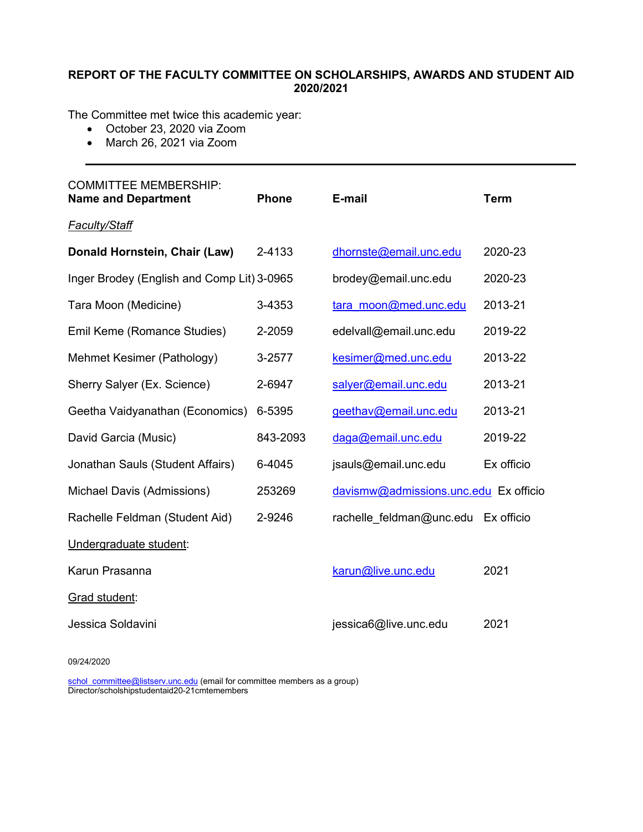# **REPORT OF THE FACULTY COMMITTEE ON SCHOLARSHIPS, AWARDS AND STUDENT AID 2020/2021**

The Committee met twice this academic year:

- October 23, 2020 via Zoom
- March 26, 2021 via Zoom

| <b>COMMITTEE MEMBERSHIP:</b><br><b>Name and Department</b> | <b>Phone</b> | E-mail                                | <b>Term</b> |
|------------------------------------------------------------|--------------|---------------------------------------|-------------|
| <b>Faculty/Staff</b>                                       |              |                                       |             |
| Donald Hornstein, Chair (Law)                              | 2-4133       | dhornste@email.unc.edu                | 2020-23     |
| Inger Brodey (English and Comp Lit) 3-0965                 |              | brodey@email.unc.edu                  | 2020-23     |
| Tara Moon (Medicine)                                       | 3-4353       | tara moon@med.unc.edu                 | 2013-21     |
| Emil Keme (Romance Studies)                                | 2-2059       | edelvall@email.unc.edu                | 2019-22     |
| Mehmet Kesimer (Pathology)                                 | 3-2577       | kesimer@med.unc.edu                   | 2013-22     |
| Sherry Salyer (Ex. Science)                                | 2-6947       | salyer@email.unc.edu                  | 2013-21     |
| Geetha Vaidyanathan (Economics)                            | 6-5395       | geethav@email.unc.edu                 | 2013-21     |
| David Garcia (Music)                                       | 843-2093     | daga@email.unc.edu                    | 2019-22     |
| Jonathan Sauls (Student Affairs)                           | 6-4045       | jsauls@email.unc.edu                  | Ex officio  |
| Michael Davis (Admissions)                                 | 253269       | davismw@admissions.unc.edu Ex officio |             |
| Rachelle Feldman (Student Aid)                             | 2-9246       | rachelle feldman@unc.edu              | Ex officio  |
| Undergraduate student:                                     |              |                                       |             |
| Karun Prasanna                                             |              | karun@live.unc.edu                    | 2021        |
| Grad student:                                              |              |                                       |             |
| Jessica Soldavini                                          |              | jessica6@live.unc.edu                 | 2021        |

09/24/2020

[schol\\_committee@listserv.unc.edu](mailto:schol_committee@listserv.unc.edu) (email for committee members as a group) Director/scholshipstudentaid20-21cmtemembers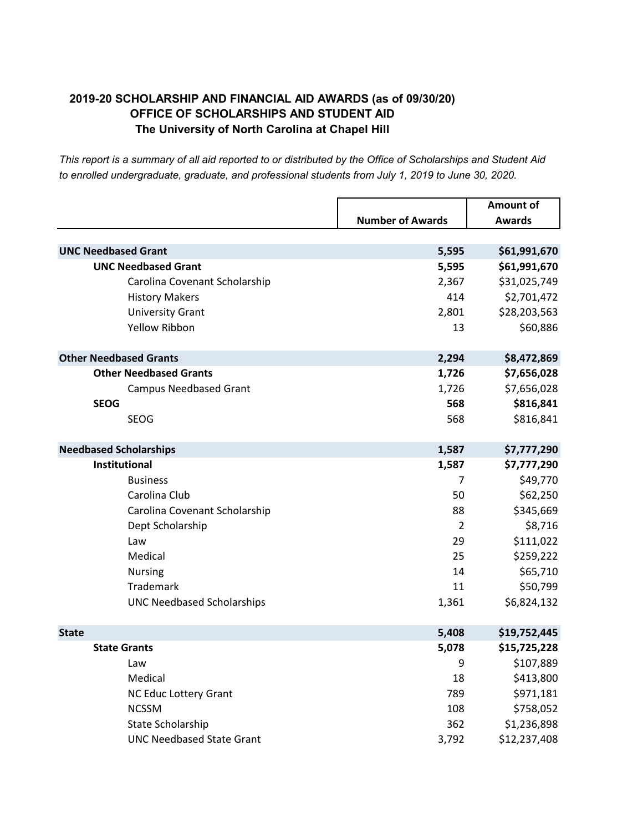# **2019-20 SCHOLARSHIP AND FINANCIAL AID AWARDS (as of 09/30/20) OFFICE OF SCHOLARSHIPS AND STUDENT AID The University of North Carolina at Chapel Hill**

|                                   | <b>Number of Awards</b> | <b>Amount of</b><br>Awards |
|-----------------------------------|-------------------------|----------------------------|
|                                   |                         |                            |
| <b>UNC Needbased Grant</b>        | 5,595                   | \$61,991,670               |
| <b>UNC Needbased Grant</b>        | 5,595                   | \$61,991,670               |
| Carolina Covenant Scholarship     | 2,367                   | \$31,025,749               |
| <b>History Makers</b>             | 414                     | \$2,701,472                |
| <b>University Grant</b>           | 2,801                   | \$28,203,563               |
| <b>Yellow Ribbon</b>              | 13                      | \$60,886                   |
| <b>Other Needbased Grants</b>     | 2,294                   | \$8,472,869                |
| <b>Other Needbased Grants</b>     | 1,726                   | \$7,656,028                |
| <b>Campus Needbased Grant</b>     | 1,726                   | \$7,656,028                |
| <b>SEOG</b>                       | 568                     | \$816,841                  |
| <b>SEOG</b>                       | 568                     | \$816,841                  |
| <b>Needbased Scholarships</b>     | 1,587                   | \$7,777,290                |
| Institutional                     | 1,587                   | \$7,777,290                |
| <b>Business</b>                   | 7                       | \$49,770                   |
| Carolina Club                     | 50                      | \$62,250                   |
| Carolina Covenant Scholarship     | 88                      | \$345,669                  |
| Dept Scholarship                  | $\overline{2}$          | \$8,716                    |
| Law                               | 29                      | \$111,022                  |
| Medical                           | 25                      | \$259,222                  |
| <b>Nursing</b>                    | 14                      | \$65,710                   |
| Trademark                         | 11                      | \$50,799                   |
| <b>UNC Needbased Scholarships</b> | 1,361                   | \$6,824,132                |
| <b>State</b>                      | 5,408                   | \$19,752,445               |
| <b>State Grants</b>               | 5,078                   | \$15,725,228               |
| Law                               | 9                       | \$107,889                  |
| Medical                           | 18                      | \$413,800                  |
| NC Educ Lottery Grant             | 789                     | \$971,181                  |
| <b>NCSSM</b>                      | 108                     | \$758,052                  |
| State Scholarship                 | 362                     | \$1,236,898                |
| <b>UNC Needbased State Grant</b>  | 3,792                   | \$12,237,408               |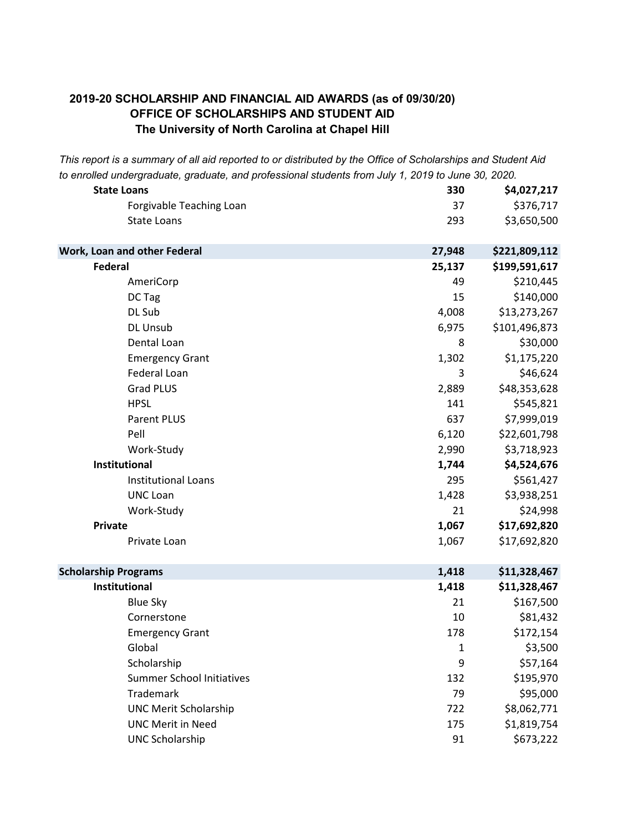# **The University of North Carolina at Chapel Hill 2019-20 SCHOLARSHIP AND FINANCIAL AID AWARDS (as of 09/30/20) OFFICE OF SCHOLARSHIPS AND STUDENT AID**

| <b>State Loans</b>               | 330    | \$4,027,217   |
|----------------------------------|--------|---------------|
| Forgivable Teaching Loan         | 37     | \$376,717     |
| <b>State Loans</b>               | 293    | \$3,650,500   |
| Work, Loan and other Federal     | 27,948 | \$221,809,112 |
| Federal                          | 25,137 | \$199,591,617 |
| AmeriCorp                        | 49     | \$210,445     |
| DC Tag                           | 15     | \$140,000     |
| DL Sub                           | 4,008  | \$13,273,267  |
| DL Unsub                         | 6,975  | \$101,496,873 |
| Dental Loan                      | 8      | \$30,000      |
| <b>Emergency Grant</b>           | 1,302  | \$1,175,220   |
| Federal Loan                     | 3      | \$46,624      |
| <b>Grad PLUS</b>                 | 2,889  | \$48,353,628  |
| <b>HPSL</b>                      | 141    | \$545,821     |
| <b>Parent PLUS</b>               | 637    | \$7,999,019   |
| Pell                             | 6,120  | \$22,601,798  |
| Work-Study                       | 2,990  | \$3,718,923   |
| <b>Institutional</b>             | 1,744  | \$4,524,676   |
| <b>Institutional Loans</b>       | 295    | \$561,427     |
| <b>UNC Loan</b>                  | 1,428  | \$3,938,251   |
| Work-Study                       | 21     | \$24,998      |
| <b>Private</b>                   | 1,067  | \$17,692,820  |
| Private Loan                     | 1,067  | \$17,692,820  |
| <b>Scholarship Programs</b>      | 1,418  | \$11,328,467  |
| Institutional                    | 1,418  | \$11,328,467  |
| <b>Blue Sky</b>                  | 21     | \$167,500     |
| Cornerstone                      | 10     | \$81,432      |
| <b>Emergency Grant</b>           | 178    | \$172,154     |
| Global                           | 1      | \$3,500       |
| Scholarship                      | 9      | \$57,164      |
| <b>Summer School Initiatives</b> | 132    | \$195,970     |
| Trademark                        | 79     | \$95,000      |
| <b>UNC Merit Scholarship</b>     | 722    | \$8,062,771   |
| <b>UNC Merit in Need</b>         | 175    | \$1,819,754   |
| <b>UNC Scholarship</b>           | 91     | \$673,222     |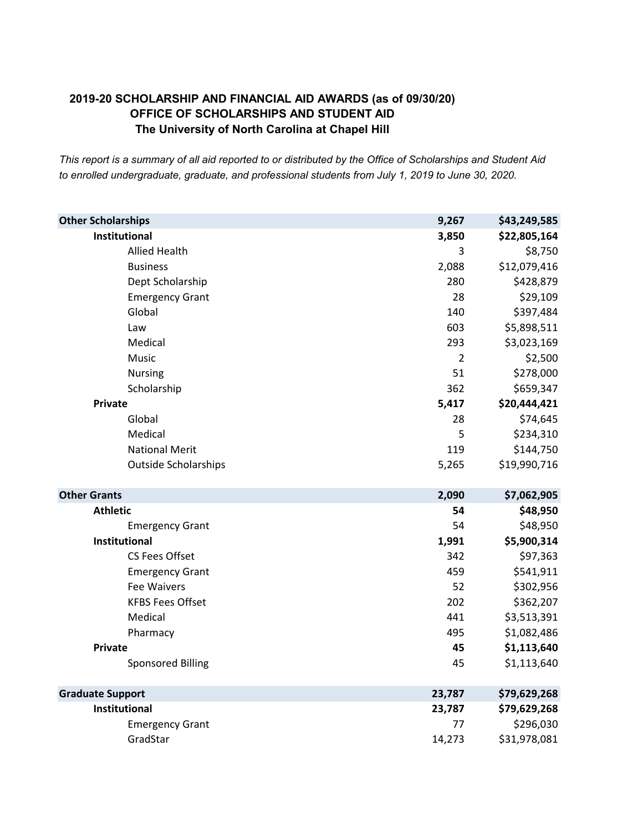# **2019-20 SCHOLARSHIP AND FINANCIAL AID AWARDS (as of 09/30/20) OFFICE OF SCHOLARSHIPS AND STUDENT AID The University of North Carolina at Chapel Hill**

| <b>Other Scholarships</b>   | 9,267          | \$43,249,585 |
|-----------------------------|----------------|--------------|
| Institutional               | 3,850          | \$22,805,164 |
| <b>Allied Health</b>        | 3              | \$8,750      |
| <b>Business</b>             | 2,088          | \$12,079,416 |
| Dept Scholarship            | 280            | \$428,879    |
| <b>Emergency Grant</b>      | 28             | \$29,109     |
| Global                      | 140            | \$397,484    |
| Law                         | 603            | \$5,898,511  |
| Medical                     | 293            | \$3,023,169  |
| Music                       | $\overline{2}$ | \$2,500      |
| <b>Nursing</b>              | 51             | \$278,000    |
| Scholarship                 | 362            | \$659,347    |
| <b>Private</b>              | 5,417          | \$20,444,421 |
| Global                      | 28             | \$74,645     |
| Medical                     | 5              | \$234,310    |
| <b>National Merit</b>       | 119            | \$144,750    |
| <b>Outside Scholarships</b> | 5,265          | \$19,990,716 |
| <b>Other Grants</b>         | 2,090          | \$7,062,905  |
| <b>Athletic</b>             | 54             | \$48,950     |
| <b>Emergency Grant</b>      | 54             | \$48,950     |
| Institutional               | 1,991          | \$5,900,314  |
| CS Fees Offset              | 342            | \$97,363     |
| <b>Emergency Grant</b>      | 459            | \$541,911    |
| <b>Fee Waivers</b>          | 52             | \$302,956    |
| <b>KFBS Fees Offset</b>     | 202            | \$362,207    |
| Medical                     | 441            | \$3,513,391  |
| Pharmacy                    | 495            | \$1,082,486  |
| <b>Private</b>              | 45             | \$1,113,640  |
| <b>Sponsored Billing</b>    | 45             | \$1,113,640  |
| <b>Graduate Support</b>     | 23,787         | \$79,629,268 |
| <b>Institutional</b>        | 23,787         | \$79,629,268 |
| <b>Emergency Grant</b>      | 77             | \$296,030    |
| GradStar                    | 14,273         | \$31,978,081 |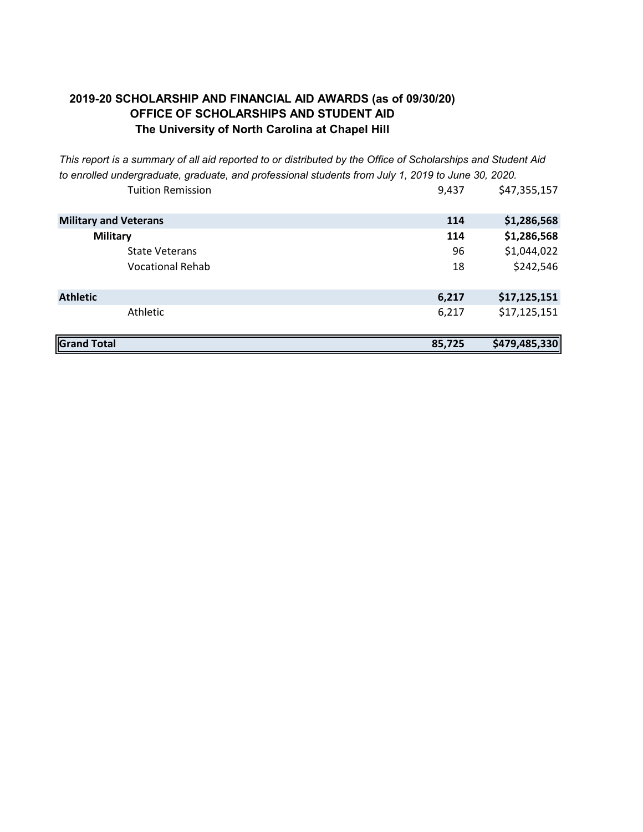# **OFFICE OF SCHOLARSHIPS AND STUDENT AID The University of North Carolina at Chapel Hill 2019-20 SCHOLARSHIP AND FINANCIAL AID AWARDS (as of 09/30/20)**

| <b>Grand Total</b>           | 85,725 | \$479,485,330 |
|------------------------------|--------|---------------|
| Athletic                     | 6,217  | \$17,125,151  |
| <b>Athletic</b>              | 6,217  | \$17,125,151  |
|                              |        |               |
| <b>Vocational Rehab</b>      | 18     | \$242,546     |
| <b>State Veterans</b>        | 96     | \$1,044,022   |
| <b>Military</b>              | 114    | \$1,286,568   |
| <b>Military and Veterans</b> | 114    | \$1,286,568   |
| <b>Tuition Remission</b>     | 9,437  | \$47,355,157  |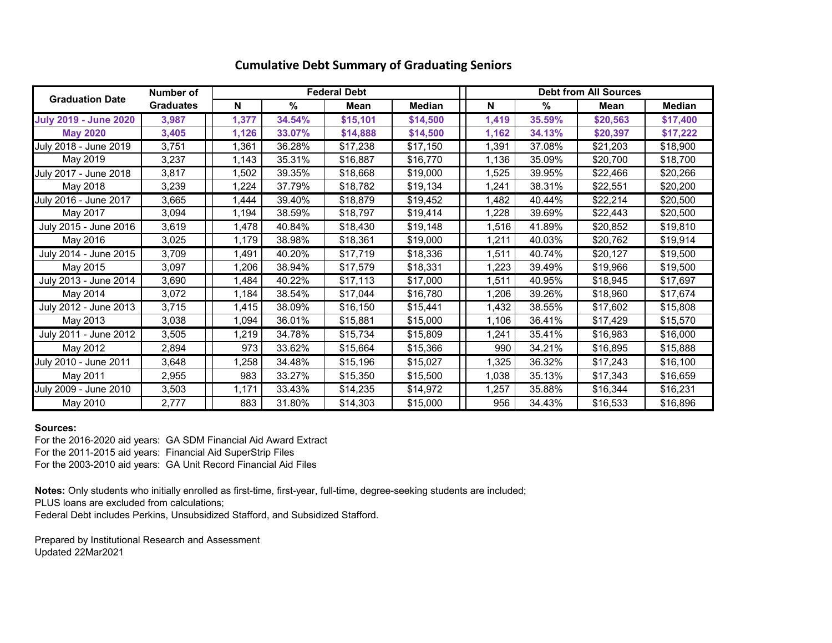|                              | Number of        |       |        | <b>Federal Debt</b> |               |       | <b>Debt from All Sources</b><br>Median<br>%<br>Mean<br>35.59%<br>\$20,563<br>\$17,400<br>34.13%<br>\$20,397<br>\$17,222<br>37.08%<br>\$21,203<br>\$18,900 |          |          |  |  |  |  |  |  |
|------------------------------|------------------|-------|--------|---------------------|---------------|-------|-----------------------------------------------------------------------------------------------------------------------------------------------------------|----------|----------|--|--|--|--|--|--|
| <b>Graduation Date</b>       | <b>Graduates</b> | N     | %      | Mean                | <b>Median</b> | N     |                                                                                                                                                           |          |          |  |  |  |  |  |  |
| <b>July 2019 - June 2020</b> | 3,987            | 1,377 | 34.54% | \$15,101            | \$14,500      | 1,419 |                                                                                                                                                           |          |          |  |  |  |  |  |  |
| <b>May 2020</b>              | 3,405            | 1,126 | 33.07% | \$14,888            | \$14,500      | 1,162 |                                                                                                                                                           |          |          |  |  |  |  |  |  |
| July 2018 - June 2019        | 3,751            | 1,361 | 36.28% | \$17,238            | \$17,150      | 1,391 |                                                                                                                                                           |          |          |  |  |  |  |  |  |
| May 2019                     | 3,237            | 1,143 | 35.31% | \$16,887            | \$16,770      | 1,136 | 35.09%                                                                                                                                                    | \$20,700 | \$18,700 |  |  |  |  |  |  |
| July 2017 - June 2018        | 3,817            | 1,502 | 39.35% | \$18,668            | \$19,000      | 1,525 | 39.95%                                                                                                                                                    | \$22,466 | \$20,266 |  |  |  |  |  |  |
| May 2018                     | 3,239            | 1,224 | 37.79% | \$18,782            | \$19,134      | 1,241 | 38.31%                                                                                                                                                    | \$22,551 | \$20,200 |  |  |  |  |  |  |
| July 2016 - June 2017        | 3,665            | 1,444 | 39.40% | \$18,879            | \$19,452      | 1,482 | 40.44%                                                                                                                                                    | \$22,214 | \$20,500 |  |  |  |  |  |  |
| May 2017                     | 3,094            | 1,194 | 38.59% | \$18,797            | \$19,414      | 1,228 | 39.69%                                                                                                                                                    | \$22,443 | \$20,500 |  |  |  |  |  |  |
| July 2015 - June 2016        | 3,619            | 1,478 | 40.84% | \$18,430            | \$19,148      | 1,516 | 41.89%                                                                                                                                                    | \$20,852 | \$19,810 |  |  |  |  |  |  |
| May 2016                     | 3,025            | 1,179 | 38.98% | \$18,361            | \$19,000      | 1,211 | 40.03%                                                                                                                                                    | \$20,762 | \$19,914 |  |  |  |  |  |  |
| July 2014 - June 2015        | 3,709            | 1,491 | 40.20% | \$17,719            | \$18,336      | 1,511 | 40.74%                                                                                                                                                    | \$20,127 | \$19,500 |  |  |  |  |  |  |
| May 2015                     | 3,097            | 1,206 | 38.94% | \$17,579            | \$18,331      | 1,223 | 39.49%                                                                                                                                                    | \$19,966 | \$19,500 |  |  |  |  |  |  |
| July 2013 - June 2014        | 3,690            | 1,484 | 40.22% | \$17,113            | \$17,000      | 1,511 | 40.95%                                                                                                                                                    | \$18,945 | \$17,697 |  |  |  |  |  |  |
| May 2014                     | 3,072            | 1,184 | 38.54% | \$17,044            | \$16,780      | 1,206 | 39.26%                                                                                                                                                    | \$18,960 | \$17,674 |  |  |  |  |  |  |
| July 2012 - June 2013        | 3,715            | 1,415 | 38.09% | \$16,150            | \$15,441      | 1,432 | 38.55%                                                                                                                                                    | \$17,602 | \$15,808 |  |  |  |  |  |  |
| May 2013                     | 3,038            | 1,094 | 36.01% | \$15,881            | \$15,000      | 1,106 | 36.41%                                                                                                                                                    | \$17,429 | \$15,570 |  |  |  |  |  |  |
| July 2011 - June 2012        | 3,505            | 1,219 | 34.78% | \$15,734            | \$15,809      | 1,241 | 35.41%                                                                                                                                                    | \$16,983 | \$16,000 |  |  |  |  |  |  |
| May 2012                     | 2,894            | 973   | 33.62% | \$15,664            | \$15,366      | 990   | 34.21%                                                                                                                                                    | \$16,895 | \$15.888 |  |  |  |  |  |  |
| July 2010 - June 2011        | 3,648            | 1,258 | 34.48% | \$15,196            | \$15,027      | 1,325 | 36.32%                                                                                                                                                    | \$17,243 | \$16,100 |  |  |  |  |  |  |
| May 2011                     | 2,955            | 983   | 33.27% | \$15,350            | \$15,500      | 1,038 | 35.13%                                                                                                                                                    | \$17,343 | \$16,659 |  |  |  |  |  |  |
| July 2009 - June 2010        | 3,503            | 1.171 | 33.43% | \$14,235            | \$14,972      | 1,257 | 35.88%                                                                                                                                                    | \$16,344 | \$16,231 |  |  |  |  |  |  |
| May 2010                     | 2,777            | 883   | 31.80% | \$14,303            | \$15,000      | 956   | 34.43%                                                                                                                                                    | \$16,533 | \$16,896 |  |  |  |  |  |  |

### **Cumulative Debt Summary of Graduating Seniors**

### **Sources:**

For the 2016-2020 aid years: GA SDM Financial Aid Award Extract For the 2011-2015 aid years: Financial Aid SuperStrip Files For the 2003-2010 aid years: GA Unit Record Financial Aid Files

**Notes:** Only students who initially enrolled as first-time, first-year, full-time, degree-seeking students are included; PLUS loans are excluded from calculations; Federal Debt includes Perkins, Unsubsidized Stafford, and Subsidized Stafford.

Prepared by Institutional Research and Assessment Updated 22Mar2021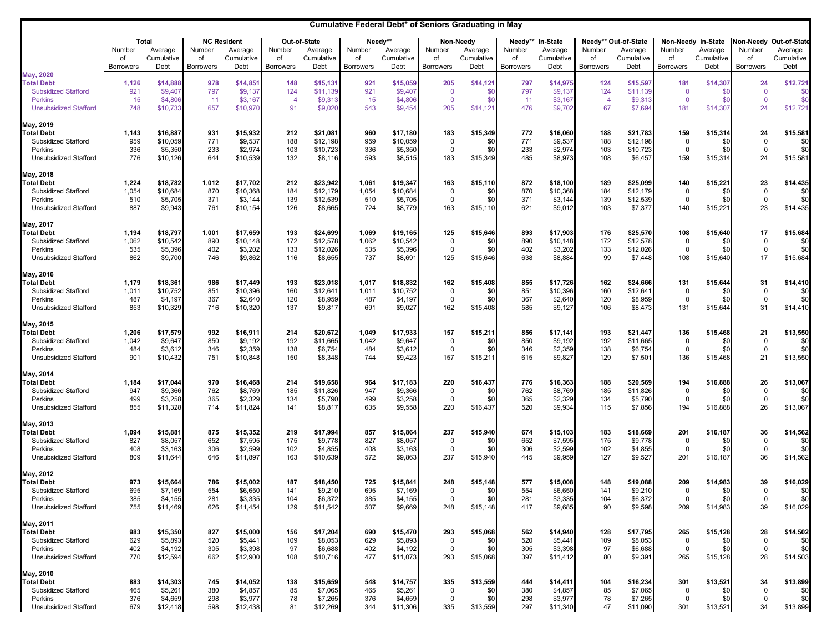|                                                                                                                |                                  |                                             |                                  |                                                     |                                    |                                               |                                  | Cumulative Federal Debt* of Seniors Graduating in May |                                           |                                            |                                             |                                            |                                    |                                                       |                                                |                                                     |                                              |                                                         |
|----------------------------------------------------------------------------------------------------------------|----------------------------------|---------------------------------------------|----------------------------------|-----------------------------------------------------|------------------------------------|-----------------------------------------------|----------------------------------|-------------------------------------------------------|-------------------------------------------|--------------------------------------------|---------------------------------------------|--------------------------------------------|------------------------------------|-------------------------------------------------------|------------------------------------------------|-----------------------------------------------------|----------------------------------------------|---------------------------------------------------------|
|                                                                                                                | Number<br>of<br><b>Borrowers</b> | Total<br>Average<br>Cumulative<br>Debt      | Number<br>of<br><b>Borrowers</b> | <b>NC Resident</b><br>Average<br>Cumulative<br>Debt | Number<br>of<br><b>Borrowers</b>   | Out-of-State<br>Average<br>Cumulative<br>Debt | Number<br>οf<br><b>Borrowers</b> | Needy**<br>Average<br>Cumulative<br>Debt              | Number<br>of<br><b>Borrowers</b>          | Non-Needy<br>Average<br>Cumulative<br>Debt | Needy**<br>Number<br>of<br><b>Borrowers</b> | In-State<br>Average<br>Cumulative<br>Debt  | Number<br>of<br><b>Borrowers</b>   | Needy** Out-of-State<br>Average<br>Cumulative<br>Debt | Number<br>of<br><b>Borrowers</b>               | Non-Needy In-State<br>Average<br>Cumulative<br>Debt | Number<br>of<br><b>Borrowers</b>             | Non-Needy Out-of-State<br>Average<br>Cumulative<br>Debt |
| May, 2020<br><b>Total Debt</b><br><b>Subsidized Stafford</b><br><b>Perkins</b><br><b>Unsubsidized Stafford</b> | 1,126<br>921<br>15<br>748        | \$14,888<br>\$9,40<br>\$4,80<br>\$10,733    | 978<br>797<br>11<br>657          | \$14,85'<br>\$9,137<br>\$3,167<br>\$10,970          | 148<br>124<br>$\overline{4}$<br>91 | \$15,13'<br>\$11,139<br>\$9,31<br>\$9,020     | 921<br>921<br>15<br>543          | \$15,059<br>\$9,407<br>\$4,806<br>\$9,454             | 205<br>$\mathbf 0$<br>$\mathbf{0}$<br>205 | \$14,121<br>\$0<br>\$C<br>\$14,121         | 797<br>797<br>11<br>476                     | \$14,975<br>\$9,137<br>\$3,167<br>\$9,702  | 124<br>124<br>$\overline{4}$<br>67 | \$15,597<br>\$11,139<br>\$9,313<br>\$7,694            | 181<br>$\overline{0}$<br>$\overline{0}$<br>181 | \$14,30<br>$$^{(1)}$$<br>$$^{(1)}$<br>\$14,30       | 24<br>$\overline{0}$<br>$\overline{0}$<br>24 | \$12,721<br>\$<br>\$ <sub>6</sub><br>\$12,72            |
| May, 2019<br><b>Total Debt</b><br>Subsidized Stafford<br>Perkins<br><b>Unsubsidized Stafford</b>               | 1,143<br>959<br>336<br>776       | \$16,887<br>\$10,059<br>\$5,350<br>\$10,126 | 931<br>771<br>233<br>644         | \$15,932<br>\$9,537<br>\$2,974<br>\$10,539          | 212<br>188<br>103<br>132           | \$21,081<br>\$12,198<br>\$10,723<br>\$8,116   | 960<br>959<br>336<br>593         | \$17,180<br>\$10,059<br>\$5,350<br>\$8,515            | 183<br>0<br>0<br>183                      | \$15,349<br>\$0<br>\$0<br>\$15,349         | 772<br>771<br>233<br>485                    | \$16,060<br>\$9,537<br>\$2,974<br>\$8,973  | 188<br>188<br>103<br>108           | \$21,783<br>\$12,198<br>\$10,723<br>\$6,457           | 159<br>-0<br>0<br>159                          | \$15,314<br>\$0<br>\$0<br>\$15,314                  | 24<br>$\Omega$<br>$\mathbf 0$<br>24          | \$15,581<br>\$0<br>\$0<br>\$15,581                      |
| May, 2018<br><b>Total Debt</b><br>Subsidized Stafford<br>Perkins<br>Unsubsidized Stafford                      | 1,224<br>1,054<br>510<br>887     | \$18,782<br>\$10,684<br>\$5,705<br>\$9,943  | 1,012<br>870<br>371<br>761       | \$17,702<br>\$10,368<br>\$3,144<br>\$10,154         | 212<br>184<br>139<br>126           | \$23,942<br>\$12,179<br>\$12,539<br>\$8,665   | 1,061<br>1,054<br>510<br>724     | \$19,347<br>\$10,684<br>\$5,705<br>\$8,779            | 163<br>$\mathbf 0$<br>0<br>163            | \$15,110<br>\$0<br>\$0<br>\$15,110         | 872<br>870<br>371<br>621                    | \$18,100<br>\$10,368<br>\$3,144<br>\$9,012 | 189<br>184<br>139<br>103           | \$25,099<br>\$12,179<br>\$12,539<br>\$7,377           | 140<br>$\Omega$<br>$\mathbf 0$<br>140          | \$15,221<br>\$0<br>\$0<br>\$15,22                   | 23<br>$\mathbf 0$<br>$\mathbf 0$<br>23       | \$14,435<br>\$0<br>\$0<br>\$14,435                      |
| May, 2017<br><b>Total Debt</b><br>Subsidized Stafford<br>Perkins<br>Unsubsidized Stafford                      | 1,194<br>1,062<br>535<br>862     | \$18,797<br>\$10,542<br>\$5,396<br>\$9,700  | 1,001<br>890<br>402<br>746       | \$17,659<br>\$10,148<br>\$3,202<br>\$9,862          | 193<br>172<br>133<br>116           | \$24,699<br>\$12,578<br>\$12,026<br>\$8,655   | 1,069<br>1,062<br>535<br>737     | \$19,165<br>\$10,542<br>\$5,396<br>\$8,691            | 125<br>0<br>0<br>125                      | \$15,646<br>\$0<br>\$0<br>\$15,646         | 893<br>890<br>402<br>638                    | \$17,903<br>\$10,148<br>\$3,202<br>\$8,884 | 176<br>172<br>133<br>99            | \$25,570<br>\$12,578<br>\$12,026<br>\$7,448           | 108<br>0<br>$\Omega$<br>108                    | \$15,640<br>\$0<br>\$C<br>\$15,640                  | 17<br>$\Omega$<br>$\Omega$<br>17             | \$15,684<br>\$0<br>\$0<br>\$15,684                      |
| May, 2016<br><b>Total Debt</b><br>Subsidized Stafford<br>Perkins<br><b>Unsubsidized Stafford</b>               | 1,179<br>1,011<br>487<br>853     | \$18,361<br>\$10,752<br>\$4,197<br>\$10,329 | 986<br>851<br>367<br>716         | \$17,449<br>\$10,396<br>\$2,640<br>\$10,320         | 193<br>160<br>120<br>137           | \$23,018<br>\$12,641<br>\$8,959<br>\$9,817    | 1,017<br>1,011<br>487<br>691     | \$18,832<br>\$10,752<br>\$4,197<br>\$9,027            | 162<br>0<br>0<br>162                      | \$15,408<br>\$0<br>\$0<br>\$15,408         | 855<br>851<br>367<br>585                    | \$17,726<br>\$10,396<br>\$2,640<br>\$9,127 | 162<br>160<br>120<br>106           | \$24,666<br>\$12,641<br>\$8,959<br>\$8,473            | 131<br>$\Omega$<br>0<br>131                    | \$15,644<br>\$0<br>\$0<br>\$15,644                  | 31<br>$\mathbf 0$<br>$\mathbf 0$<br>31       | \$14,410<br>\$0<br>\$0<br>\$14,410                      |
| May, 2015<br><b>Total Debt</b><br>Subsidized Stafford<br>Perkins<br>Unsubsidized Stafford                      | 1,206<br>1,042<br>484<br>901     | \$17,579<br>\$9,647<br>\$3,612<br>\$10,432  | 992<br>850<br>346<br>751         | \$16,911<br>\$9,192<br>\$2,359<br>\$10,848          | 214<br>192<br>138<br>150           | \$20,672<br>\$11,665<br>\$6,754<br>\$8,348    | 1,049<br>1,042<br>484<br>744     | \$17,933<br>\$9,647<br>\$3,612<br>\$9,423             | 157<br>$\mathbf 0$<br>0<br>157            | \$15,211<br>\$0<br>\$0<br>\$15,211         | 856<br>850<br>346<br>615                    | \$17,141<br>\$9,192<br>\$2,359<br>\$9,827  | 193<br>192<br>138<br>129           | \$21,447<br>\$11,665<br>\$6,754<br>\$7,501            | 136<br>$\Omega$<br>0<br>136                    | \$15,468<br>\$0<br>\$0<br>\$15,468                  | 21<br>$\Omega$<br>$\Omega$<br>21             | \$13,550<br>\$0<br>\$0<br>\$13,550                      |
| May, 2014<br><b>Total Debt</b><br>Subsidized Stafford<br>Perkins<br>Unsubsidized Stafford                      | 1,184<br>947<br>499<br>855       | \$17,044<br>\$9,366<br>\$3,258<br>\$11,328  | 970<br>762<br>365<br>714         | \$16,468<br>\$8,769<br>\$2,329<br>\$11,824          | 214<br>185<br>134<br>141           | \$19,658<br>\$11,826<br>\$5,790<br>\$8,817    | 964<br>947<br>499<br>635         | \$17,183<br>\$9,366<br>\$3,258<br>\$9,558             | 220<br>$\mathbf 0$<br>0<br>220            | \$16,437<br>\$0<br>\$0<br>\$16,437         | 776<br>762<br>365<br>520                    | \$16,363<br>\$8,769<br>\$2,329<br>\$9,934  | 188<br>185<br>134<br>115           | \$20,569<br>\$11,826<br>\$5,790<br>\$7,856            | 194<br>$\Omega$<br>$\mathbf 0$<br>194          | \$16,888<br>\$0<br>\$C<br>\$16,888                  | 26<br>$\Omega$<br>$\Omega$<br>26             | \$13,067<br>\$0<br>\$0<br>\$13,067                      |
| May, 2013<br><b>Total Debt</b><br>Subsidized Stafford<br>Perkins<br>Unsubsidized Stafford                      | 1,094<br>827<br>408<br>809       | \$15,881<br>\$8,057<br>\$3,163<br>\$11,644  | 875<br>652<br>306<br>646         | \$15,352<br>\$7,595<br>\$2,599<br>\$11,897          | 219<br>175<br>102<br>163           | \$17,994<br>\$9,778<br>\$4,855<br>\$10,639    | 857<br>827<br>408<br>572         | \$15,864<br>\$8,057<br>\$3,163<br>\$9,863             | 237<br>0<br>0<br>237                      | \$15,940<br>\$0<br>\$0<br>\$15,940         | 674<br>652<br>306<br>445                    | \$15,103<br>\$7,595<br>\$2,599<br>\$9,959  | 183<br>175<br>102<br>127           | \$18,669<br>\$9,778<br>\$4,855<br>\$9,527             | 201<br>-0<br>0<br>201                          | \$16,187<br>\$0<br>\$0<br>\$16,187                  | 36<br>$\Omega$<br>$\mathbf 0$<br>36          | \$14,562<br>\$0<br>\$0<br>\$14,562                      |
| May, 2012<br><b>Total Debt</b><br>Subsidized Stafford<br>Perkins<br>Unsubsidized Stafford                      | 973<br>695<br>385<br>755         | \$15,664<br>\$7,169<br>\$4,155<br>\$11,469  | 786<br>554<br>281<br>626         | \$15,002<br>\$6,650<br>\$3,335<br>\$11,454          | 187<br>141<br>104<br>129           | \$18,450<br>\$9,210<br>\$6,372<br>\$11,542    | 725<br>695<br>385<br>507         | \$15,841<br>\$7,169<br>\$4,155<br>\$9,669             | 248<br>$\Omega$<br>0<br>248               | \$15,148<br>ፍር<br>\$0<br>\$15,148          | 577<br>551<br>281<br>417                    | \$15,008<br>\$6,650<br>\$3,335<br>\$9,685  | 148<br>141<br>104<br>90            | \$19,088<br>\$9,210<br>\$6,372<br>\$9,598             | 209<br>- 0<br>0<br>209                         | \$14,983<br>\$0<br>\$0<br>\$14,983                  | 39<br>$\Omega$<br>$\Omega$<br>39             | \$16,029<br>\$0<br>\$0<br>\$16,029                      |
| May, 2011<br><b>Total Debt</b><br>Subsidized Stafford<br>Perkins<br>Unsubsidized Stafford                      | 983<br>629<br>402<br>770         | \$15,350<br>\$5,893<br>\$4,192<br>\$12,594  | 827<br>520<br>305<br>662         | \$15,000<br>\$5,441<br>\$3,398<br>\$12,900          | 156<br>109<br>97<br>108            | \$17,204<br>\$8,053<br>\$6,688<br>\$10,716    | 690<br>629<br>402<br>477         | \$15,470<br>\$5,893<br>\$4,192<br>\$11,073            | 293<br>0<br>$\mathbf 0$<br>293            | \$15,068<br>\$0<br>\$0<br>\$15,068         | 562<br>520<br>305<br>397                    | \$14,940<br>\$5,441<br>\$3,398<br>\$11,412 | 128<br>109<br>97<br>80             | \$17,795<br>\$8,053<br>\$6,688<br>\$9,391             | 265<br>0<br>$\mathbf 0$<br>265                 | \$15,128<br>\$0<br>\$0<br>\$15,128                  | 28<br>$\mathbf 0$<br>0<br>28                 | \$14,502<br>\$0<br>\$0<br>\$14,503                      |
| May, 2010<br><b>Total Debt</b><br>Subsidized Stafford<br>Perkins<br>Unsubsidized Stafford                      | 883<br>465<br>376<br>679         | \$14,303<br>\$5,261<br>\$4,659<br>\$12,418  | 745<br>380<br>298<br>598         | \$14,052<br>\$4,857<br>\$3,977<br>\$12,438          | 138<br>85<br>78<br>81              | \$15,659<br>\$7,065<br>\$7,265<br>\$12,269    | 548<br>465<br>376<br>344         | \$14,757<br>\$5,261<br>\$4,659<br>\$11,306            | 335<br>0<br>$\mathbf 0$<br>335            | \$13,559<br>\$0<br>\$0<br>\$13,559         | 444<br>380<br>298<br>297                    | \$14,411<br>\$4,857<br>\$3,977<br>\$11,340 | 104<br>85<br>78<br>47              | \$16,234<br>\$7,065<br>\$7,265<br>\$11,090            | 301<br>0<br>0<br>301                           | \$13,521<br>\$0<br>\$0<br>\$13,521                  | 34<br>$\mathbf 0$<br>$\mathbf 0$<br>34       | \$13,899<br>\$0<br>\$0<br>\$13,899                      |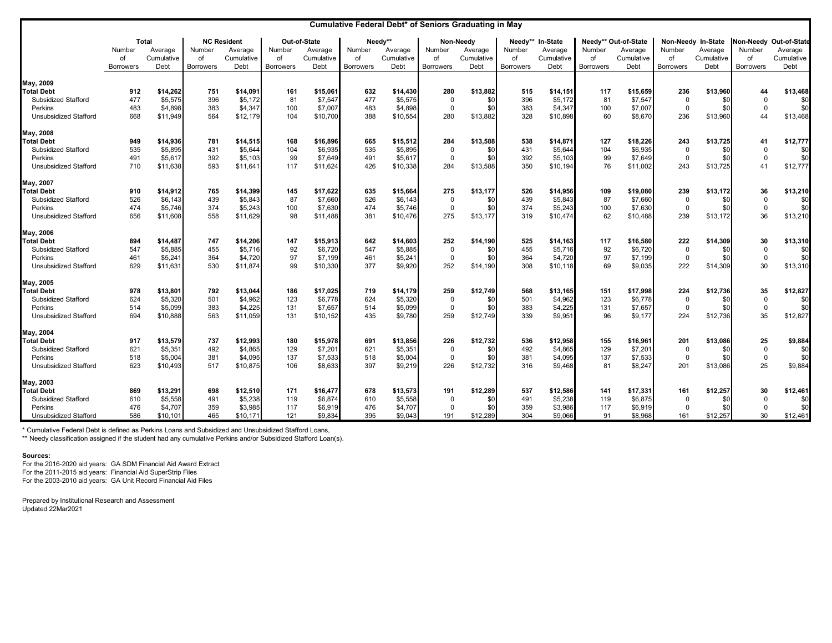|                              | Cumulative Federal Debt* of Seniors Graduating in May |              |                  |                    |                  |              |                  |            |                  |            |                  |            |                  |                      |                    |            |                  |                        |
|------------------------------|-------------------------------------------------------|--------------|------------------|--------------------|------------------|--------------|------------------|------------|------------------|------------|------------------|------------|------------------|----------------------|--------------------|------------|------------------|------------------------|
|                              |                                                       | <b>Total</b> |                  | <b>NC Resident</b> |                  | Out-of-State |                  | Needv**    |                  | Non-Needy  | Needy**          | In-State   |                  | Needy** Out-of-State | Non-Needy In-State |            |                  | Non-Needy Out-of-State |
|                              | Number                                                | Average      | Number           | Average            | Number           | Average      | Number           | Average    | Number           | Average    | Number           | Average    | Number           | Average              | Number             | Average    | Number           | Average                |
|                              | of                                                    | Cumulative   | of               | Cumulative         | of               | Cumulative   | of               | Cumulative | of               | Cumulative | of               | Cumulative | of               | Cumulative           | of                 | Cumulative | of               | Cumulative             |
|                              | <b>Borrowers</b>                                      | Debt         | <b>Borrowers</b> | Debt               | <b>Borrowers</b> | Debt         | <b>Borrowers</b> | Debt       | <b>Borrowers</b> | Debt       | <b>Borrowers</b> | Debt       | <b>Borrowers</b> | Debt                 | <b>Borrowers</b>   | Debt       | <b>Borrowers</b> | Debt                   |
| May, 2009                    |                                                       |              |                  |                    |                  |              |                  |            |                  |            |                  |            |                  |                      |                    |            |                  |                        |
| <b>Total Debt</b>            | 912                                                   | \$14,262     | 751              | \$14,091           | 161              | \$15,061     | 632              | \$14,430   | 280              | \$13,882   | 515              | \$14,151   | 117              | \$15,659             | 236                | \$13,960   | 44               | \$13,468               |
| Subsidized Stafford          | 477                                                   | \$5,575      | 396              | \$5,172            | 81               | \$7,547      | 477              | \$5,575    | $\mathbf 0$      | \$0        | 396              | \$5,172    | 81               | \$7,547              | $\mathbf{0}$       | \$0        | $\mathbf 0$      | \$0                    |
| Perkins                      | 483                                                   | \$4,898      | 383              | \$4,347            | 100              | \$7,007      | 483              | \$4,898    | 0                | \$0        | 383              | \$4,347    | 100              | \$7,007              | $\mathbf 0$        | \$0        | $\mathbf 0$      | \$0                    |
| <b>Unsubsidized Stafford</b> | 668                                                   | \$11,949     | 564              | \$12,179           | 104              | \$10,700     | 388              | \$10,554   | 280              | \$13,882   | 328              | \$10,898   | 60               | \$8,670              | 236                | \$13,960   | 44               | \$13,468               |
| May, 2008                    |                                                       |              |                  |                    |                  |              |                  |            |                  |            |                  |            |                  |                      |                    |            |                  |                        |
| <b>Total Debt</b>            | 949                                                   | \$14,936     | 781              | \$14,515           | 168              | \$16,896     | 665              | \$15,512   | 284              | \$13,588   | 538              | \$14,871   | 127              | \$18,226             | 243                | \$13,725   | 41               | \$12,777               |
| Subsidized Stafford          | 535                                                   | \$5,895      | 431              | \$5.644            | 104              | \$6,935      | 535              | \$5.895    | $\overline{0}$   | \$0        | 431              | \$5,644    | 104              | \$6.935              | $\mathbf{0}$       | \$0        | $\mathbf 0$      | \$0                    |
| Perkins                      | 491                                                   | \$5,617      | 392              | \$5,103            | 99               | \$7,649      | 491              | \$5,617    | $\mathbf 0$      | \$0        | 392              | \$5,103    | 99               | \$7,649              | $\overline{0}$     | \$0        | $\mathsf 0$      | \$0                    |
| Unsubsidized Stafford        | 710                                                   | \$11,638     | 593              | \$11,641           | 117              | \$11,624     | 426              | \$10,338   | 284              | \$13,588   | 350              | \$10,194   | 76               | \$11,002             | 243                | \$13,725   | 41               | \$12,777               |
| May, 2007                    |                                                       |              |                  |                    |                  |              |                  |            |                  |            |                  |            |                  |                      |                    |            |                  |                        |
| <b>Total Debt</b>            | 910                                                   | \$14,912     | 765              | \$14.399           | 145              | \$17,622     | 635              | \$15,664   | 275              | \$13,177   | 526              | \$14,956   | 109              | \$19,080             | 239                | \$13,172   | 36               | \$13,210               |
| Subsidized Stafford          | 526                                                   | \$6,143      | 439              | \$5,843            | 87               | \$7,660      | 526              | \$6,143    | $\mathbf 0$      | \$0        | 439              | \$5,843    | 87               | \$7,660              | $\mathbf{0}$       | \$0        | $\mathbf 0$      | \$0                    |
| Perkins                      | 474                                                   | \$5,746      | 374              | \$5,243            | 100              | \$7,630      | 474              | \$5,746    | $\mathbf 0$      | \$0        | 374              | \$5,243    | 100              | \$7,630              | $\mathbf{0}$       | \$0        | $\mathbf 0$      | \$0                    |
| Unsubsidized Stafford        | 656                                                   | \$11,608     | 558              | \$11,629           | 98               | \$11,488     | 381              | \$10,476   | 275              | \$13,177   | 319              | \$10,474   | 62               | \$10,488             | 239                | \$13,172   | 36               | \$13,210               |
| May, 2006                    |                                                       |              |                  |                    |                  |              |                  |            |                  |            |                  |            |                  |                      |                    |            |                  |                        |
| <b>Total Debt</b>            | 894                                                   | \$14,487     | 747              | \$14,206           | 147              | \$15,913     | 642              | \$14,603   | 252              | \$14,190   | 525              | \$14,163   | 117              | \$16,580             | 222                | \$14,309   | 30               | \$13,310               |
| Subsidized Stafford          | 547                                                   | \$5,885      | 455              | \$5,716            | 92               | \$6,720      | 547              | \$5,885    | $\mathbf 0$      | \$0        | 455              | \$5,716    | 92               | \$6,720              | $\overline{0}$     | \$0        | $\mathbf 0$      | \$0                    |
| Perkins                      | 461                                                   | \$5,241      | 364              | \$4,720            | 97               | \$7,199      | 461              | \$5,241    | 0                | \$0        | 364              | \$4,720    | 97               | \$7,199              | $\overline{0}$     | \$0        | $\mathbf 0$      | \$0                    |
| <b>Unsubsidized Stafford</b> | 629                                                   | \$11,631     | 530              | \$11,874           | 99               | \$10,330     | 377              | \$9,920    | 252              | \$14,190   | 308              | \$10,118   | 69               | \$9,035              | 222                | \$14,309   | 30               | \$13,310               |
| May, 2005                    |                                                       |              |                  |                    |                  |              |                  |            |                  |            |                  |            |                  |                      |                    |            |                  |                        |
| <b>Total Debt</b>            | 978                                                   | \$13,801     | 792              | \$13.044           | 186              | \$17,025     | 719              | \$14,179   | 259              | \$12,749   | 568              | \$13,165   | 151              | \$17,998             | 224                | \$12,736   | 35               | \$12,827               |
| Subsidized Stafford          | 624                                                   | \$5,320      | 501              | \$4,962            | 123              | \$6,778      | 624              | \$5,320    | $\mathbf 0$      | \$0        | 501              | \$4,962    | 123              | \$6,778              | 0                  | \$0        | $\mathbf 0$      | \$0                    |
| Perkins                      | 514                                                   | \$5,099      | 383              | \$4,225            | 131              | \$7,657      | 514              | \$5,099    | $\mathbf 0$      | \$0        | 383              | \$4,225    | 131              | \$7,657              | $\mathbf{0}$       | \$0        | $\mathbf 0$      | \$0                    |
| <b>Unsubsidized Stafford</b> | 694                                                   | \$10,888     | 563              | \$11,059           | 131              | \$10,152     | 435              | \$9,780    | 259              | \$12,749   | 339              | \$9,951    | 96               | \$9,177              | 224                | \$12,736   | 35               | \$12,827               |
| May, 2004                    |                                                       |              |                  |                    |                  |              |                  |            |                  |            |                  |            |                  |                      |                    |            |                  |                        |
| <b>Total Debt</b>            | 917                                                   | \$13,579     | 737              | \$12.993           | 180              | \$15,978     | 691              | \$13,856   | 226              | \$12,732   | 536              | \$12,958   | 155              | \$16.961             | 201                | \$13,086   | 25               | \$9.884                |
| Subsidized Stafford          | 621                                                   | \$5,351      | 492              | \$4,865            | 129              | \$7,201      | 621              | \$5,351    | $\Omega$         | \$0        | 492              | \$4,865    | 129              | \$7,201              | $\mathbf{0}$       | \$0        | $\mathbf 0$      | \$0                    |
| Perkins                      | 518                                                   | \$5,004      | 381              | \$4,095            | 137              | \$7,533      | 518              | \$5,004    | $\mathbf{0}$     | \$0        | 381              | \$4,095    | 137              | \$7,533              | $\mathbf{0}$       | \$0        | $\mathbf 0$      | \$0                    |
| Unsubsidized Stafford        | 623                                                   | \$10,493     | 517              | \$10,875           | 106              | \$8,633      | 397              | \$9,219    | 226              | \$12,732   | 316              | \$9,468    | 81               | \$8,247              | 201                | \$13,086   | 25               | \$9,884                |
| May, 2003                    |                                                       |              |                  |                    |                  |              |                  |            |                  |            |                  |            |                  |                      |                    |            |                  |                        |
| <b>Total Debt</b>            | 869                                                   | \$13,291     | 698              | \$12,510           | 171              | \$16,477     | 678              | \$13,573   | 191              | \$12,289   | 537              | \$12,586   | 141              | \$17,331             | 161                | \$12,257   | 30               | \$12,461               |
| Subsidized Stafford          | 610                                                   | \$5,558      | 491              | \$5,238            | 119              | \$6,874      | 610              | \$5,558    | $\mathbf 0$      | \$0        | 491              | \$5,238    | 119              | \$6,875              | $\mathbf{0}$       | \$0        | $\Omega$         | \$0                    |
| Perkins                      | 476                                                   | \$4,707      | 359              | \$3,985            | 117              | \$6,919      | 476              | \$4,707    | $\mathbf 0$      | \$0        | 359              | \$3,986    | 117              | \$6,919              | $\mathbf{0}$       | \$0        | $\Omega$         | \$0                    |
| Unsubsidized Stafford        | 586                                                   | \$10,101     | 465              | \$10,171           | 121              | \$9,834      | 395              | \$9,043    | 191              | \$12,289   | 304              | \$9,066    | 91               | \$8,968              | 161                | \$12,257   | 30               | \$12,461               |

\* Cumulative Federal Debt is defined as Perkins Loans and Subsidized and Unsubsidized Stafford Loans,

\*\* Needy classification assigned if the student had any cumulative Perkins and/or Subsidized Stafford Loan(s).

**Sources:**

For the 2016-2020 aid years: GA SDM Financial Aid Award Extract For the 2011-2015 aid years: Financial Aid SuperStrip Files For the 2003-2010 aid years: GA Unit Record Financial Aid Files

Prepared by Institutional Research and Assessment Updated 22Mar2021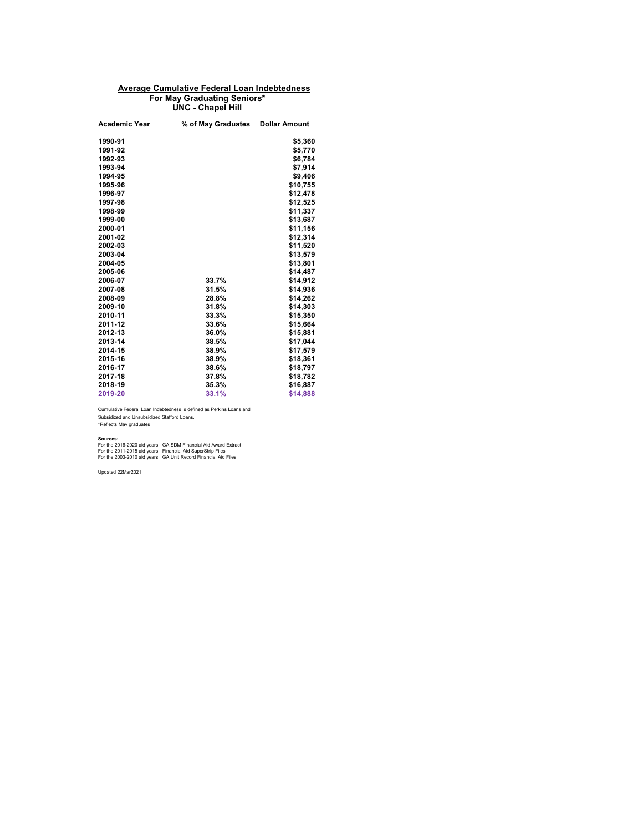### **Average Cumulative Federal Loan Indebtedness For May Graduating Seniors\* UNC - Chapel Hill**

| Academic Year | % of May Graduates | <b>Dollar Amount</b> |
|---------------|--------------------|----------------------|
| 1990-91       |                    | \$5,360              |
| 1991-92       |                    | \$5,770              |
| 1992-93       |                    | \$6,784              |
| 1993-94       |                    | \$7.914              |
| 1994-95       |                    | \$9,406              |
| 1995-96       |                    | \$10,755             |
| 1996-97       |                    | \$12,478             |
| 1997-98       |                    | \$12,525             |
| 1998-99       |                    | \$11,337             |
| 1999-00       |                    | \$13,687             |
| 2000-01       |                    | \$11,156             |
| 2001-02       |                    | \$12,314             |
| 2002-03       |                    | \$11,520             |
| 2003-04       |                    | \$13,579             |
| 2004-05       |                    | \$13,801             |
| 2005-06       |                    | \$14,487             |
| 2006-07       | 33.7%              | \$14,912             |
| 2007-08       | 31.5%              | \$14,936             |
| 2008-09       | 28.8%              | \$14,262             |
| 2009-10       | 31.8%              | \$14,303             |
| 2010-11       | 33.3%              | \$15,350             |
| 2011-12       | 33.6%              | \$15,664             |
| 2012-13       | 36.0%              | \$15,881             |
| 2013-14       | 38.5%              | \$17,044             |
| 2014-15       | 38.9%              | \$17,579             |
| 2015-16       | 38.9%              | \$18,361             |
| 2016-17       | 38.6%              | \$18,797             |
| 2017-18       | 37.8%              | \$18,782             |
| 2018-19       | 35.3%              | \$16,887             |
| 2019-20       | 33.1%              | \$14,888             |
|               |                    |                      |

Cumulative Federal Loan Indebtedness is defined as Perkins Loans and Subsidized and Unsubsidized Stafford Loans. \*Reflects May graduates

**Sources:**<br>For the 2016-2020 aid years: GA SDM Financial Aid Award Extract<br>For the 2011-2015 aid years: GA Unit Record Financial Aid Files<br>For the 2003-2010 aid years: GA Unit Record Financial Aid Files

Updated 22Mar2021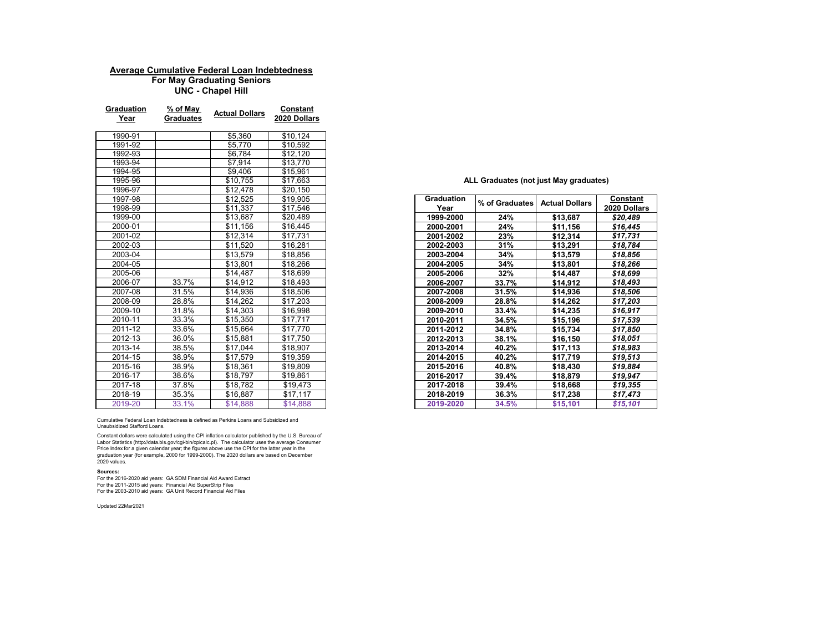### **Average Cumulative Federal Loan Indebtedness**

**UNC - Chapel Hill For May Graduating Seniors**

| <b>Graduation</b><br>Year | % of May<br><b>Graduates</b> | <b>Actual Dollars</b> | Constant<br>2020 Dollars |
|---------------------------|------------------------------|-----------------------|--------------------------|
| 1990-91                   |                              | \$5,360               | \$10,124                 |
| 1991-92                   |                              | \$5,770               | \$10,592                 |
| 1992-93                   |                              | \$6,784               | \$12,120                 |
| 1993-94                   |                              | \$7,914               | \$13,770                 |
| 1994-95                   |                              | \$9,406               | \$15,961                 |
| 1995-96                   |                              | \$10,755              | \$17,663                 |
| 1996-97                   |                              | \$12,478              | \$20,150                 |
| 1997-98                   |                              | \$12,525              | \$19,905                 |
| 1998-99                   |                              | \$11,337              | \$17,546                 |
| 1999-00                   |                              | \$13,687              | \$20,489                 |
| 2000-01                   |                              | \$11,156              | \$16,445                 |
| 2001-02                   |                              | \$12,314              | \$17,731                 |
| 2002-03                   |                              | \$11,520              | \$16,281                 |
| 2003-04                   |                              | \$13,579              | \$18,856                 |
| 2004-05                   |                              | \$13,801              | \$18,266                 |
| 2005-06                   |                              | \$14,487              | \$18,699                 |
| 2006-07                   | 33.7%                        | \$14,912              | \$18,493                 |
| 2007-08                   | 31.5%                        | \$14,936              | \$18,506                 |
| 2008-09                   | 28.8%                        | \$14,262              | \$17,203                 |
| 2009-10                   | 31.8%                        | \$14,303              | \$16,998                 |
| 2010-11                   | 33.3%                        | \$15,350              | \$17,717                 |
| 2011-12                   | 33.6%                        | \$15,664              | \$17,770                 |
| 2012-13                   | 36.0%                        | \$15,881              | \$17,750                 |
| 2013-14                   | 38.5%                        | \$17,044              | \$18,907                 |
| 2014-15                   | 38.9%                        | \$17,579              | \$19,359                 |
| 2015-16                   | 38.9%                        | \$18,361              | \$19,809                 |
| 2016-17                   | 38.6%                        | \$18,797              | \$19,861                 |
| 2017-18                   | 37.8%                        | \$18,782              | \$19,473                 |
| 2018-19                   | 35.3%                        | \$16,887              | \$17,117                 |
| 2019-20                   | 33.1%                        | \$14,888              | \$14,888                 |

| 1997-98 |       | \$12,525 | \$19,905 | Graduation | % of Graduates | <b>Actual Dollars</b> | Constant     |
|---------|-------|----------|----------|------------|----------------|-----------------------|--------------|
| 1998-99 |       | \$11,337 | \$17,546 | Year       |                |                       | 2020 Dollars |
| 1999-00 |       | \$13,687 | \$20.489 | 1999-2000  | 24%            | \$13,687              | \$20,489     |
| 2000-01 |       | \$11.156 | \$16,445 | 2000-2001  | 24%            | \$11.156              | \$16,445     |
| 2001-02 |       | \$12,314 | \$17,731 | 2001-2002  | 23%            | \$12,314              | \$17.731     |
| 2002-03 |       | \$11,520 | \$16,281 | 2002-2003  | 31%            | \$13,291              | \$18,784     |
| 2003-04 |       | \$13,579 | \$18,856 | 2003-2004  | 34%            | \$13,579              | \$18,856     |
| 2004-05 |       | \$13,801 | \$18,266 | 2004-2005  | 34%            | \$13,801              | \$18,266     |
| 2005-06 |       | \$14,487 | \$18,699 | 2005-2006  | 32%            | \$14,487              | \$18,699     |
| 2006-07 | 33.7% | \$14,912 | \$18,493 | 2006-2007  | 33.7%          | \$14,912              | \$18,493     |
| 2007-08 | 31.5% | \$14,936 | \$18,506 | 2007-2008  | 31.5%          | \$14,936              | \$18,506     |
| 2008-09 | 28.8% | \$14.262 | \$17.203 | 2008-2009  | 28.8%          | \$14.262              | \$17,203     |
| 2009-10 | 31.8% | \$14,303 | \$16.998 | 2009-2010  | 33.4%          | \$14,235              | \$16.917     |
| 2010-11 | 33.3% | \$15,350 | \$17,717 | 2010-2011  | 34.5%          | \$15,196              | \$17,539     |
| 2011-12 | 33.6% | \$15,664 | \$17,770 | 2011-2012  | 34.8%          | \$15,734              | \$17,850     |
| 2012-13 | 36.0% | \$15,881 | \$17.750 | 2012-2013  | 38.1%          | \$16,150              | \$18,051     |
| 2013-14 | 38.5% | \$17,044 | \$18,907 | 2013-2014  | 40.2%          | \$17,113              | \$18.983     |
| 2014-15 | 38.9% | \$17,579 | \$19,359 | 2014-2015  | 40.2%          | \$17,719              | \$19,513     |
| 2015-16 | 38.9% | \$18,361 | \$19,809 | 2015-2016  | 40.8%          | \$18,430              | \$19,884     |
| 2016-17 | 38.6% | \$18,797 | \$19,861 | 2016-2017  | 39.4%          | \$18,879              | \$19,947     |
| 2017-18 | 37.8% | \$18,782 | \$19,473 | 2017-2018  | 39.4%          | \$18,668              | \$19,355     |
| 2018-19 | 35.3% | \$16,887 | \$17,117 | 2018-2019  | 36.3%          | \$17,238              | \$17,473     |
| 2019-20 | 33.1% | \$14,888 | \$14,888 | 2019-2020  | 34.5%          | \$15,101              | \$15,101     |

Cumulative Federal Loan Indebtedness is defined as Perkins Loans and Subsidized and Unsubsidized Stafford Loans.

Constant dollars were calculated using the CPI inflation calculator published by the U.S. Bureau of<br>Labor Statistics (http://data.bls.gov/cgl-bin/cpicalc.pl). The calculator uses the average Consumer<br>Price Index for a give

#### **Sources:**

For the 2016-2020 aid years: GA SDM Financial Aid Award Extract For the 2011-2015 aid years: Financial Aid SuperStrip Files For the 2003-2010 aid years: GA Unit Record Financial Aid Files

Updated 22Mar2021

#### **ALL Graduates (not just May graduates)**